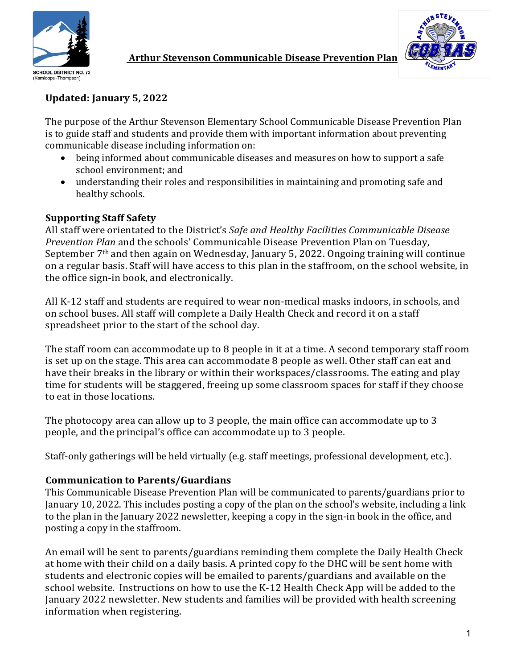



## **Arthur Stevenson Communicable Disease Prevention Plan**

# **Updated: January 5, 2022**

The purpose of the Arthur Stevenson Elementary School Communicable Disease Prevention Plan is to guide staff and students and provide them with important information about preventing communicable disease including information on:

- being informed about communicable diseases and measures on how to support a safe school environment: and
- understanding their roles and responsibilities in maintaining and promoting safe and healthy schools.

### **Supporting Staff Safety**

All staff were orientated to the District's Safe and Healthy Facilities Communicable Disease *Prevention Plan* and the schools' Communicable Disease Prevention Plan on Tuesday, September  $7<sup>th</sup>$  and then again on Wednesday, January 5, 2022. Ongoing training will continue on a regular basis. Staff will have access to this plan in the staffroom, on the school website, in the office sign-in book, and electronically.

All K-12 staff and students are required to wear non-medical masks indoors, in schools, and on school buses. All staff will complete a Daily Health Check and record it on a staff spreadsheet prior to the start of the school day.

The staff room can accommodate up to 8 people in it at a time. A second temporary staff room is set up on the stage. This area can accommodate 8 people as well. Other staff can eat and have their breaks in the library or within their workspaces/classrooms. The eating and play time for students will be staggered, freeing up some classroom spaces for staff if they choose to eat in those locations.

The photocopy area can allow up to 3 people, the main office can accommodate up to 3 people, and the principal's office can accommodate up to 3 people.

Staff-only gatherings will be held virtually (e.g. staff meetings, professional development, etc.).

### **Communication to Parents/Guardians**

This Communicable Disease Prevention Plan will be communicated to parents/guardians prior to January 10, 2022. This includes posting a copy of the plan on the school's website, including a link to the plan in the January 2022 newsletter, keeping a copy in the sign-in book in the office, and posting a copy in the staffroom.

An email will be sent to parents/guardians reminding them complete the Daily Health Check at home with their child on a daily basis. A printed copy fo the DHC will be sent home with students and electronic copies will be emailed to parents/guardians and available on the school website. Instructions on how to use the K-12 Health Check App will be added to the January 2022 newsletter. New students and families will be provided with health screening information when registering.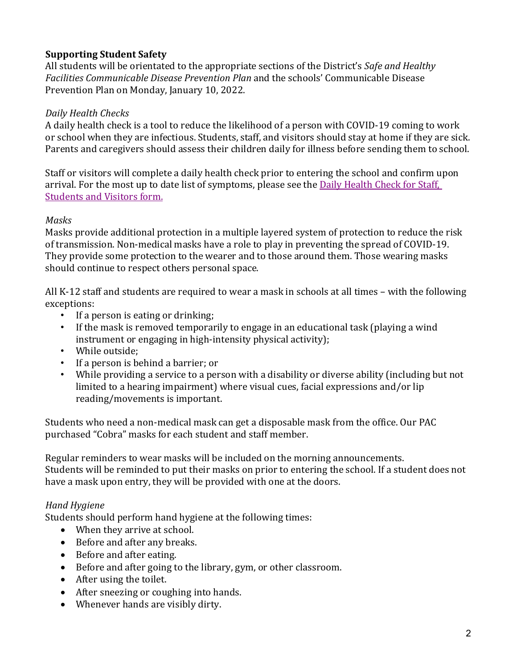# **Supporting Student Safety**

All students will be orientated to the appropriate sections of the District's *Safe and Healthy* Facilities Communicable Disease Prevention Plan and the schools' Communicable Disease Prevention Plan on Monday, January 10, 2022.

#### *Daily Health Checks*

A daily health check is a tool to reduce the likelihood of a person with COVID-19 coming to work or school when they are infectious. Students, staff, and visitors should stay at home if they are sick. Parents and caregivers should assess their children daily for illness before sending them to school.

Staff or visitors will complete a daily health check prior to entering the school and confirm upon arrival. For the most up to date list of symptoms, please see the Daily Health Check for Staff, Students and Visitors form.

#### *Masks*

Masks provide additional protection in a multiple layered system of protection to reduce the risk of transmission. Non-medical masks have a role to play in preventing the spread of COVID-19. They provide some protection to the wearer and to those around them. Those wearing masks should continue to respect others personal space.

All K-12 staff and students are required to wear a mask in schools at all times – with the following exceptions:

- If a person is eating or drinking;
- If the mask is removed temporarily to engage in an educational task (playing a wind instrument or engaging in high-intensity physical activity);
- While outside;
- If a person is behind a barrier; or
- While providing a service to a person with a disability or diverse ability (including but not limited to a hearing impairment) where visual cues, facial expressions and/or lip reading/movements is important.

Students who need a non-medical mask can get a disposable mask from the office. Our PAC purchased "Cobra" masks for each student and staff member.

Regular reminders to wear masks will be included on the morning announcements. Students will be reminded to put their masks on prior to entering the school. If a student does not have a mask upon entry, they will be provided with one at the doors.

### *Hand Hygiene*

Students should perform hand hygiene at the following times:

- When they arrive at school.
- Before and after any breaks.
- Before and after eating.
- Before and after going to the library, gym, or other classroom.
- $\bullet$  After using the toilet.
- After sneezing or coughing into hands.
- Whenever hands are visibly dirty.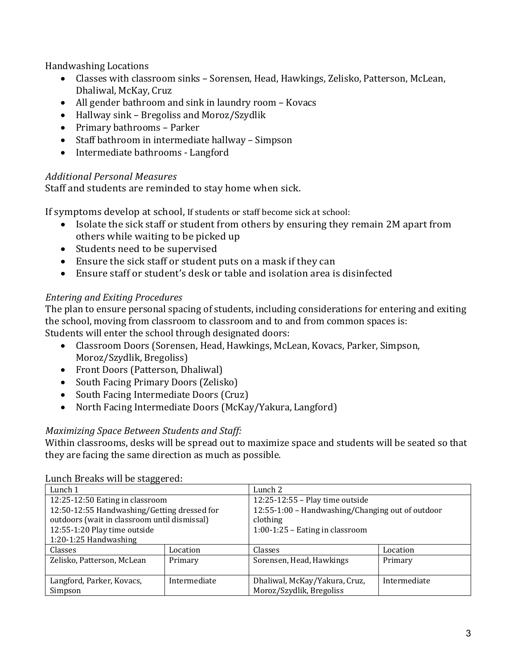Handwashing Locations

- Classes with classroom sinks Sorensen, Head, Hawkings, Zelisko, Patterson, McLean, Dhaliwal, McKay, Cruz
- All gender bathroom and sink in laundry room Kovacs
- Hallway sink Bregoliss and Moroz/Szydlik
- Primary bathrooms Parker
- Staff bathroom in intermediate hallway Simpson
- Intermediate bathrooms Langford

# *Additional Personal Measures*

Staff and students are reminded to stay home when sick.

If symptoms develop at school, If students or staff become sick at school:

- Isolate the sick staff or student from others by ensuring they remain 2M apart from others while waiting to be picked up
- Students need to be supervised
- Ensure the sick staff or student puts on a mask if they can
- Ensure staff or student's desk or table and isolation area is disinfected

# *Entering and Exiting Procedures*

The plan to ensure personal spacing of students, including considerations for entering and exiting the school, moving from classroom to classroom and to and from common spaces is: Students will enter the school through designated doors:

- Classroom Doors (Sorensen, Head, Hawkings, McLean, Kovacs, Parker, Simpson, Moroz/Szydlik, Bregoliss)
- Front Doors (Patterson, Dhaliwal)
- South Facing Primary Doors (Zelisko)
- South Facing Intermediate Doors (Cruz)
- North Facing Intermediate Doors (McKay/Yakura, Langford)

### *Maximizing Space Between Students and Staff:*

Within classrooms, desks will be spread out to maximize space and students will be seated so that they are facing the same direction as much as possible.

| <b>Banch Dreams</b> will be staggered.       |              |                                                  |              |  |
|----------------------------------------------|--------------|--------------------------------------------------|--------------|--|
| Lunch 1                                      |              | Lunch 2                                          |              |  |
| 12:25-12:50 Eating in classroom              |              | 12:25-12:55 - Play time outside                  |              |  |
| 12:50-12:55 Handwashing/Getting dressed for  |              | 12:55-1:00 - Handwashing/Changing out of outdoor |              |  |
| outdoors (wait in classroom until dismissal) |              | clothing                                         |              |  |
| 12:55-1:20 Play time outside                 |              | 1:00-1:25 - Eating in classroom                  |              |  |
| $1:20-1:25$ Handwashing                      |              |                                                  |              |  |
| Classes                                      | Location     | Classes                                          | Location     |  |
| Zelisko, Patterson, McLean                   | Primary      | Sorensen, Head, Hawkings                         | Primary      |  |
|                                              |              |                                                  |              |  |
| Langford, Parker, Kovacs,                    | Intermediate | Dhaliwal, McKay/Yakura, Cruz,                    | Intermediate |  |
| Simpson                                      |              | Moroz/Szydlik, Bregoliss                         |              |  |

Lunch Breaks will be staggered: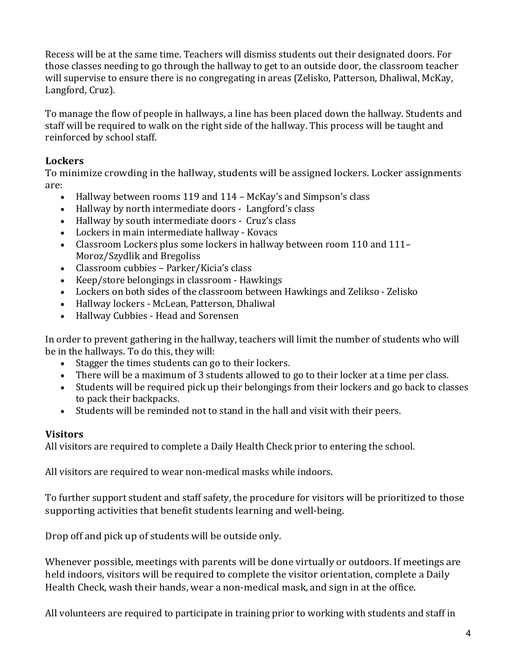Recess will be at the same time. Teachers will dismiss students out their designated doors. For those classes needing to go through the hallway to get to an outside door, the classroom teacher will supervise to ensure there is no congregating in areas (Zelisko, Patterson, Dhaliwal, McKay, Langford, Cruz).

To manage the flow of people in hallways, a line has been placed down the hallway. Students and staff will be required to walk on the right side of the hallway. This process will be taught and reinforced by school staff.

### **Lockers**

To minimize crowding in the hallway, students will be assigned lockers. Locker assignments are:

- Hallway between rooms 119 and 114 McKay's and Simpson's class
- Hallway by north intermediate doors Langford's class
- Hallway by south intermediate doors Cruz's class
- Lockers in main intermediate hallway Kovacs
- Classroom Lockers plus some lockers in hallway between room 110 and 111-Moroz/Szydlik and Bregoliss
- Classroom cubbies Parker/Kicia's class
- Keep/store belongings in classroom Hawkings
- Lockers on both sides of the classroom between Hawkings and Zelikso Zelisko
- Hallway lockers McLean, Patterson, Dhaliwal
- Hallway Cubbies - Head and Sorensen

In order to prevent gathering in the hallway, teachers will limit the number of students who will be in the hallways. To do this, they will:

- Stagger the times students can go to their lockers.
- There will be a maximum of 3 students allowed to go to their locker at a time per class.
- Students will be required pick up their belongings from their lockers and go back to classes to pack their backpacks.
- Students will be reminded not to stand in the hall and visit with their peers.

#### **Visitors**

All visitors are required to complete a Daily Health Check prior to entering the school.

All visitors are required to wear non-medical masks while indoors.

To further support student and staff safety, the procedure for visitors will be prioritized to those supporting activities that benefit students learning and well-being.

Drop off and pick up of students will be outside only.

Whenever possible, meetings with parents will be done virtually or outdoors. If meetings are held indoors, visitors will be required to complete the visitor orientation, complete a Daily Health Check, wash their hands, wear a non-medical mask, and sign in at the office.

All volunteers are required to participate in training prior to working with students and staff in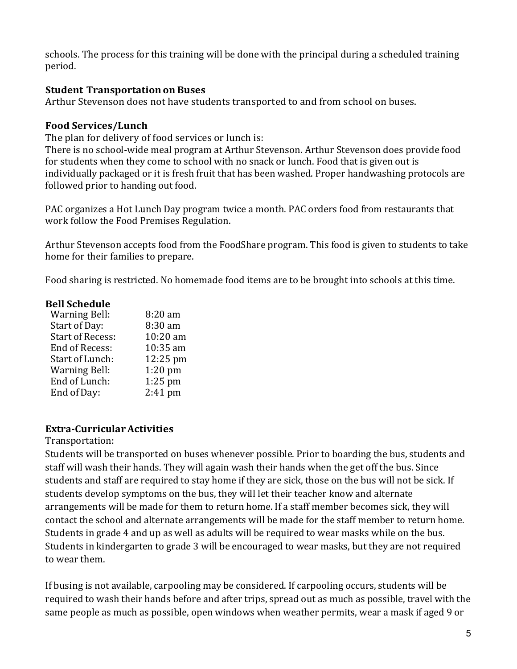schools. The process for this training will be done with the principal during a scheduled training period.

#### **Student Transportationon Buses**

Arthur Stevenson does not have students transported to and from school on buses.

#### **Food Services/Lunch**

The plan for delivery of food services or lunch is:

There is no school-wide meal program at Arthur Stevenson. Arthur Stevenson does provide food for students when they come to school with no snack or lunch. Food that is given out is individually packaged or it is fresh fruit that has been washed. Proper handwashing protocols are followed prior to handing out food.

PAC organizes a Hot Lunch Day program twice a month. PAC orders food from restaurants that work follow the Food Premises Regulation.

Arthur Stevenson accepts food from the FoodShare program. This food is given to students to take home for their families to prepare.

Food sharing is restricted. No homemade food items are to be brought into schools at this time.

#### **Bell Schedule**

| <b>Warning Bell:</b>    | 8:20 am   |
|-------------------------|-----------|
| Start of Day:           | 8:30 am   |
| <b>Start of Recess:</b> | 10:20 am  |
| End of Recess:          | 10:35 am  |
| Start of Lunch:         | 12:25 pm  |
| <b>Warning Bell:</b>    | $1:20$ pm |
| End of Lunch:           | $1:25$ pm |
| End of Day:             | 2:41 pm   |

### **Extra-CurricularActivities**

#### Transportation:

Students will be transported on buses whenever possible. Prior to boarding the bus, students and staff will wash their hands. They will again wash their hands when the get off the bus. Since students and staff are required to stay home if they are sick, those on the bus will not be sick. If students develop symptoms on the bus, they will let their teacher know and alternate arrangements will be made for them to return home. If a staff member becomes sick, they will contact the school and alternate arrangements will be made for the staff member to return home. Students in grade 4 and up as well as adults will be required to wear masks while on the bus. Students in kindergarten to grade 3 will be encouraged to wear masks, but they are not required to wear them.

If busing is not available, carpooling may be considered. If carpooling occurs, students will be required to wash their hands before and after trips, spread out as much as possible, travel with the same people as much as possible, open windows when weather permits, wear a mask if aged 9 or